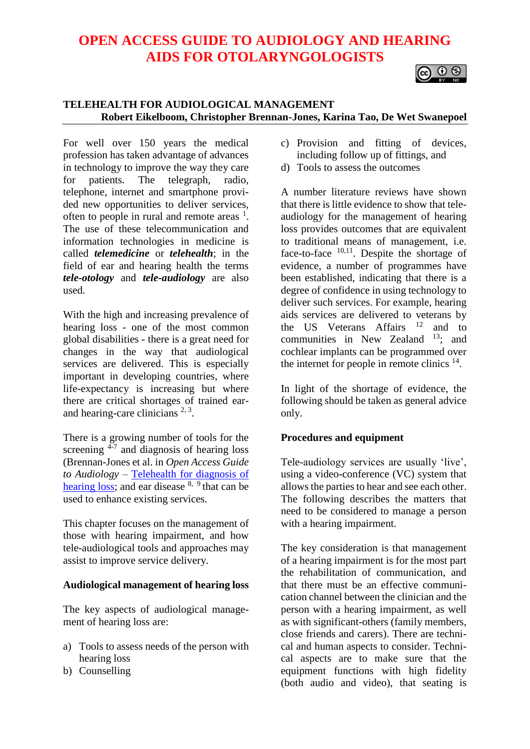## **OPEN ACCESS GUIDE TO AUDIOLOGY AND HEARING AIDS FOR OTOLARYNGOLOGISTS**

# $\circ$   $\circ$

## **TELEHEALTH FOR AUDIOLOGICAL MANAGEMENT Robert Eikelboom, Christopher Brennan-Jones, Karina Tao, De Wet Swanepoel**

For well over 150 years the medical profession has taken advantage of advances in technology to improve the way they care<br>for patients. The telegraph, radio, for patients. The telegraph, radio, telephone, internet and smartphone provided new opportunities to deliver services, often to people in rural and remote areas  $<sup>1</sup>$ .</sup> The use of these telecommunication and information technologies in medicine is called *telemedicine* or *telehealth*; in the field of ear and hearing health the terms *tele-otology* and *tele-audiology* are also used.

With the high and increasing prevalence of hearing loss - one of the most common global disabilities - there is a great need for changes in the way that audiological services are delivered. This is especially important in developing countries, where life-expectancy is increasing but where there are critical shortages of trained earand hearing-care clinicians  $2,3$ .

There is a growing number of tools for the screening <sup>4-7</sup> and diagnosis of hearing loss (Brennan-Jones et al. in *Open Access Guide to Audiology* – [Telehealth for diagnosis of](https://vula.uct.ac.za/access/content/group/27b5cb1b-1b65-4280-9437-a9898ddd4c40/Telehealth%20for%20diagnosis%20of%20hearing%20loss.pdf)  [hearing loss;](https://vula.uct.ac.za/access/content/group/27b5cb1b-1b65-4280-9437-a9898ddd4c40/Telehealth%20for%20diagnosis%20of%20hearing%20loss.pdf) and ear disease  $8, 9$  that can be used to enhance existing services.

This chapter focuses on the management of those with hearing impairment, and how tele-audiological tools and approaches may assist to improve service delivery.

#### **Audiological management of hearing loss**

The key aspects of audiological management of hearing loss are:

- a) Tools to assess needs of the person with hearing loss
- b) Counselling
- c) Provision and fitting of devices, including follow up of fittings, and
- d) Tools to assess the outcomes

A number literature reviews have shown that there is little evidence to show that teleaudiology for the management of hearing loss provides outcomes that are equivalent to traditional means of management, i.e. face-to-face 10,11. Despite the shortage of evidence, a number of programmes have been established, indicating that there is a degree of confidence in using technology to deliver such services. For example, hearing aids services are delivered to veterans by the US Veterans Affairs<sup>12</sup> and to communities in New Zealand  $13$ ; and cochlear implants can be programmed over the internet for people in remote clinics  $14$ .

In light of the shortage of evidence, the following should be taken as general advice only.

## **Procedures and equipment**

Tele-audiology services are usually 'live', using a video-conference (VC) system that allows the parties to hear and see each other. The following describes the matters that need to be considered to manage a person with a hearing impairment.

The key consideration is that management of a hearing impairment is for the most part the rehabilitation of communication, and that there must be an effective communication channel between the clinician and the person with a hearing impairment, as well as with significant-others (family members, close friends and carers). There are technical and human aspects to consider. Technical aspects are to make sure that the equipment functions with high fidelity (both audio and video), that seating is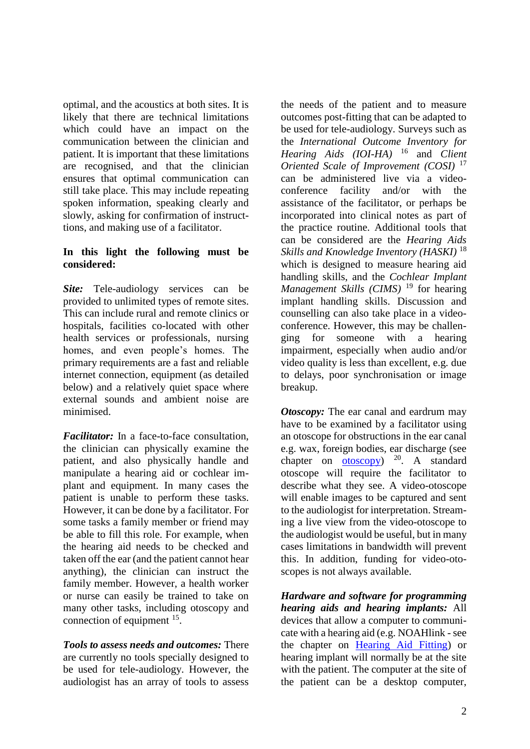optimal, and the acoustics at both sites. It is likely that there are technical limitations which could have an impact on the communication between the clinician and patient. It is important that these limitations are recognised, and that the clinician ensures that optimal communication can still take place. This may include repeating spoken information, speaking clearly and slowly, asking for confirmation of instructtions, and making use of a facilitator.

## **In this light the following must be considered:**

*Site:* Tele-audiology services can be provided to unlimited types of remote sites. This can include rural and remote clinics or hospitals, facilities co-located with other health services or professionals, nursing homes, and even people's homes. The primary requirements are a fast and reliable internet connection, equipment (as detailed below) and a relatively quiet space where external sounds and ambient noise are minimised.

*Facilitator:* In a face-to-face consultation, the clinician can physically examine the patient, and also physically handle and manipulate a hearing aid or cochlear implant and equipment. In many cases the patient is unable to perform these tasks. However, it can be done by a facilitator. For some tasks a family member or friend may be able to fill this role. For example, when the hearing aid needs to be checked and taken off the ear (and the patient cannot hear anything), the clinician can instruct the family member. However, a health worker or nurse can easily be trained to take on many other tasks, including otoscopy and connection of equipment  $15$ .

*Tools to assess needs and outcomes:* There are currently no tools specially designed to be used for tele-audiology. However, the audiologist has an array of tools to assess

the needs of the patient and to measure outcomes post-fitting that can be adapted to be used for tele-audiology. Surveys such as the *International Outcome Inventory for Hearing Aids (IOI-HA)* <sup>16</sup> and *Client Oriented Scale of Improvement (COSI)* <sup>17</sup> can be administered live via a videoconference facility and/or with the assistance of the facilitator, or perhaps be incorporated into clinical notes as part of the practice routine. Additional tools that can be considered are the *Hearing Aids Skills and Knowledge Inventory (HASKI)* <sup>18</sup> which is designed to measure hearing aid handling skills, and the *Cochlear Implant Management Skills (CIMS)* <sup>19</sup> for hearing implant handling skills. Discussion and counselling can also take place in a videoconference. However, this may be challenging for someone with a hearing impairment, especially when audio and/or video quality is less than excellent, e.g. due to delays, poor synchronisation or image breakup.

*Otoscopy:* The ear canal and eardrum may have to be examined by a facilitator using an otoscope for obstructions in the ear canal e.g. wax, foreign bodies, ear discharge (see chapter on  $otoscopy$ )  $^{20}$ . A standard otoscope will require the facilitator to describe what they see. A video-otoscope will enable images to be captured and sent to the audiologist for interpretation. Streaming a live view from the video-otoscope to the audiologist would be useful, but in many cases limitations in bandwidth will prevent this. In addition, funding for video-otoscopes is not always available.

*Hardware and software for programming hearing aids and hearing implants:* All devices that allow a computer to communicate with a hearing aid (e.g. NOAHlink - see the chapter on [Hearing Aid Fitting\)](https://vula.uct.ac.za/access/content/group/27b5cb1b-1b65-4280-9437-a9898ddd4c40/Fitting%20hearing%20aids%20%20-%20Clinical%20and%20practical%20aspects.pdf) or hearing implant will normally be at the site with the patient. The computer at the site of the patient can be a desktop computer,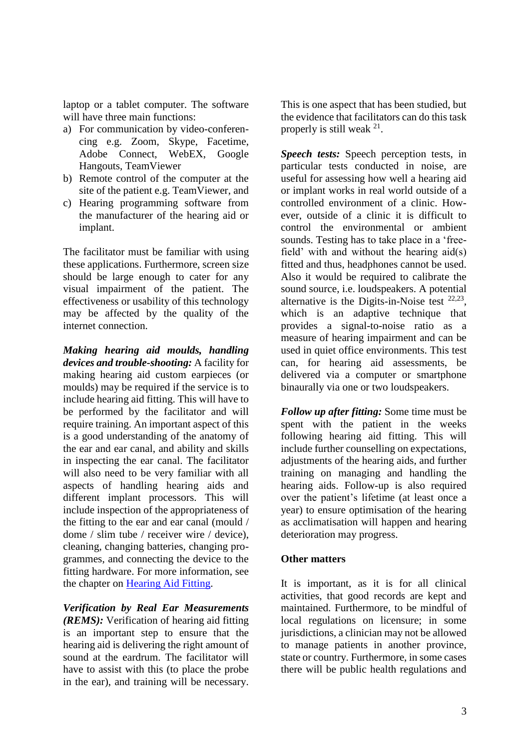laptop or a tablet computer. The software will have three main functions:

- a) For communication by video-conferencing e.g. Zoom, Skype, Facetime, Adobe Connect, WebEX, Google Hangouts, TeamViewer
- b) Remote control of the computer at the site of the patient e.g. TeamViewer, and
- c) Hearing programming software from the manufacturer of the hearing aid or implant.

The facilitator must be familiar with using these applications. Furthermore, screen size should be large enough to cater for any visual impairment of the patient. The effectiveness or usability of this technology may be affected by the quality of the internet connection.

*Making hearing aid moulds, handling devices and trouble-shooting:* A facility for making hearing aid custom earpieces (or moulds) may be required if the service is to include hearing aid fitting. This will have to be performed by the facilitator and will require training. An important aspect of this is a good understanding of the anatomy of the ear and ear canal, and ability and skills in inspecting the ear canal. The facilitator will also need to be very familiar with all aspects of handling hearing aids and different implant processors. This will include inspection of the appropriateness of the fitting to the ear and ear canal (mould / dome / slim tube / receiver wire / device), cleaning, changing batteries, changing programmes, and connecting the device to the fitting hardware. For more information, see the chapter on [Hearing Aid Fitting.](https://vula.uct.ac.za/access/content/group/27b5cb1b-1b65-4280-9437-a9898ddd4c40/Fitting%20hearing%20aids%20%20-%20Clinical%20and%20practical%20aspects.pdf)

*Verification by Real Ear Measurements (REMS):* Verification of hearing aid fitting is an important step to ensure that the hearing aid is delivering the right amount of sound at the eardrum. The facilitator will have to assist with this (to place the probe in the ear), and training will be necessary.

This is one aspect that has been studied, but the evidence that facilitators can do this task properly is still weak <sup>21</sup>.

*Speech tests:* Speech perception tests, in particular tests conducted in noise, are useful for assessing how well a hearing aid or implant works in real world outside of a controlled environment of a clinic. However, outside of a clinic it is difficult to control the environmental or ambient sounds. Testing has to take place in a 'freefield' with and without the hearing aid(s) fitted and thus, headphones cannot be used. Also it would be required to calibrate the sound source, i.e. loudspeakers. A potential alternative is the Digits-in-Noise test  $22,23$ , which is an adaptive technique that provides a signal-to-noise ratio as a measure of hearing impairment and can be used in quiet office environments. This test can, for hearing aid assessments, be delivered via a computer or smartphone binaurally via one or two loudspeakers.

*Follow up after fitting:* Some time must be spent with the patient in the weeks following hearing aid fitting. This will include further counselling on expectations, adjustments of the hearing aids, and further training on managing and handling the hearing aids. Follow-up is also required over the patient's lifetime (at least once a year) to ensure optimisation of the hearing as acclimatisation will happen and hearing deterioration may progress.

#### **Other matters**

It is important, as it is for all clinical activities, that good records are kept and maintained. Furthermore, to be mindful of local regulations on licensure; in some jurisdictions, a clinician may not be allowed to manage patients in another province, state or country. Furthermore, in some cases there will be public health regulations and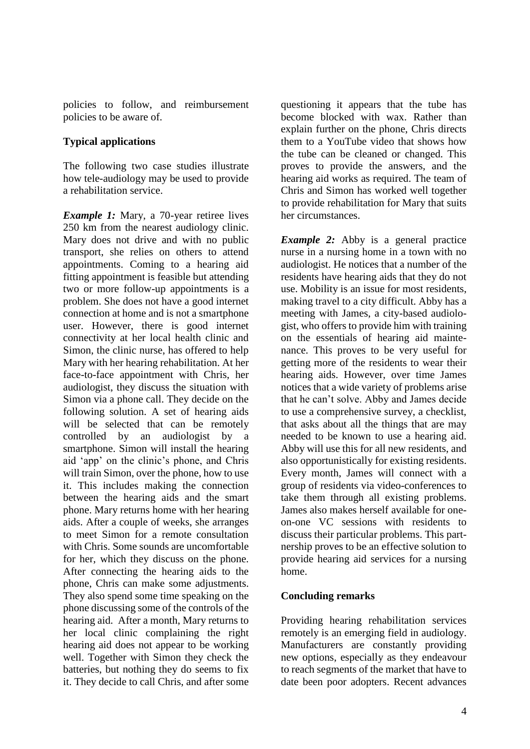policies to follow, and reimbursement policies to be aware of.

## **Typical applications**

The following two case studies illustrate how tele-audiology may be used to provide a rehabilitation service.

*Example 1:* Mary, a 70-year retiree lives 250 km from the nearest audiology clinic. Mary does not drive and with no public transport, she relies on others to attend appointments. Coming to a hearing aid fitting appointment is feasible but attending two or more follow-up appointments is a problem. She does not have a good internet connection at home and is not a smartphone user. However, there is good internet connectivity at her local health clinic and Simon, the clinic nurse, has offered to help Mary with her hearing rehabilitation. At her face-to-face appointment with Chris, her audiologist, they discuss the situation with Simon via a phone call. They decide on the following solution. A set of hearing aids will be selected that can be remotely controlled by an audiologist by a smartphone. Simon will install the hearing aid 'app' on the clinic's phone, and Chris will train Simon, over the phone, how to use it. This includes making the connection between the hearing aids and the smart phone. Mary returns home with her hearing aids. After a couple of weeks, she arranges to meet Simon for a remote consultation with Chris. Some sounds are uncomfortable for her, which they discuss on the phone. After connecting the hearing aids to the phone, Chris can make some adjustments. They also spend some time speaking on the phone discussing some of the controls of the hearing aid. After a month, Mary returns to her local clinic complaining the right hearing aid does not appear to be working well. Together with Simon they check the batteries, but nothing they do seems to fix it. They decide to call Chris, and after some

questioning it appears that the tube has become blocked with wax. Rather than explain further on the phone, Chris directs them to a YouTube video that shows how the tube can be cleaned or changed. This proves to provide the answers, and the hearing aid works as required. The team of Chris and Simon has worked well together to provide rehabilitation for Mary that suits her circumstances.

*Example 2:* Abby is a general practice nurse in a nursing home in a town with no audiologist. He notices that a number of the residents have hearing aids that they do not use. Mobility is an issue for most residents, making travel to a city difficult. Abby has a meeting with James, a city-based audiologist, who offers to provide him with training on the essentials of hearing aid maintenance. This proves to be very useful for getting more of the residents to wear their hearing aids. However, over time James notices that a wide variety of problems arise that he can't solve. Abby and James decide to use a comprehensive survey, a checklist, that asks about all the things that are may needed to be known to use a hearing aid. Abby will use this for all new residents, and also opportunistically for existing residents. Every month, James will connect with a group of residents via video-conferences to take them through all existing problems. James also makes herself available for oneon-one VC sessions with residents to discuss their particular problems. This partnership proves to be an effective solution to provide hearing aid services for a nursing home.

## **Concluding remarks**

Providing hearing rehabilitation services remotely is an emerging field in audiology. Manufacturers are constantly providing new options, especially as they endeavour to reach segments of the market that have to date been poor adopters. Recent advances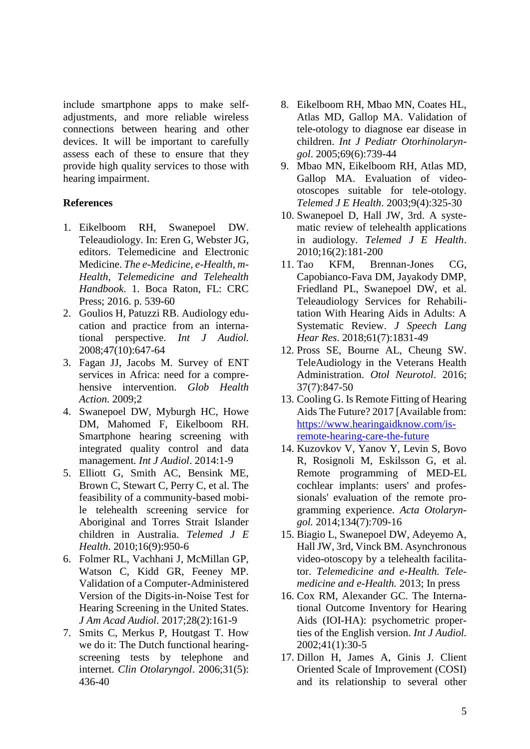include smartphone apps to make selfadjustments, and more reliable wireless connections between hearing and other devices. It will be important to carefully assess each of these to ensure that they provide high quality services to those with hearing impairment.

### **References**

- 1. Eikelboom RH, Swanepoel DW. Teleaudiology. In: Eren G, Webster JG, editors. Telemedicine and Electronic Medicine. *The e-Medicine, e-Health, m-Health, Telemedicine and Telehealth Handbook*. 1. Boca Raton, FL: CRC Press; 2016. p. 539-60
- 2. Goulios H, Patuzzi RB. Audiology education and practice from an international perspective. *Int J Audiol.* 2008;47(10):647-64
- 3. Fagan JJ, Jacobs M. Survey of ENT services in Africa: need for a comprehensive intervention. *Glob Health Action*. 2009;2
- 4. Swanepoel DW, Myburgh HC, Howe DM, Mahomed F, Eikelboom RH. Smartphone hearing screening with integrated quality control and data management. *Int J Audiol*. 2014:1-9
- 5. Elliott G, Smith AC, Bensink ME, Brown C, Stewart C, Perry C, et al. The feasibility of a community-based mobile telehealth screening service for Aboriginal and Torres Strait Islander children in Australia. *Telemed J E Health*. 2010;16(9):950-6
- 6. Folmer RL, Vachhani J, McMillan GP, Watson C, Kidd GR, Feeney MP. Validation of a Computer-Administered Version of the Digits-in-Noise Test for Hearing Screening in the United States. *J Am Acad Audiol*. 2017;28(2):161-9
- 7. Smits C, Merkus P, Houtgast T. How we do it: The Dutch functional hearingscreening tests by telephone and internet. *Clin Otolaryngol*. 2006;31(5): 436-40
- 8. Eikelboom RH, Mbao MN, Coates HL, Atlas MD, Gallop MA. Validation of tele-otology to diagnose ear disease in children. *Int J Pediatr Otorhinolaryngol*. 2005;69(6):739-44
- 9. Mbao MN, Eikelboom RH, Atlas MD, Gallop MA. Evaluation of videootoscopes suitable for tele-otology. *Telemed J E Health*. 2003;9(4):325-30
- 10. Swanepoel D, Hall JW, 3rd. A systematic review of telehealth applications in audiology. *Telemed J E Health*. 2010;16(2):181-200
- 11. Tao KFM, Brennan-Jones CG, Capobianco-Fava DM, Jayakody DMP, Friedland PL, Swanepoel DW, et al. Teleaudiology Services for Rehabilitation With Hearing Aids in Adults: A Systematic Review. *J Speech Lang Hear Res*. 2018;61(7):1831-49
- 12. Pross SE, Bourne AL, Cheung SW. TeleAudiology in the Veterans Health Administration. *Otol Neurotol*. 2016; 37(7):847-50
- 13. Cooling G. Is Remote Fitting of Hearing Aids The Future? 2017 [Available from: [https://www.hearingaidknow.com/is](https://www.hearingaidknow.com/is-remote-hearing-care-the-future)[remote-hearing-care-the-future](https://www.hearingaidknow.com/is-remote-hearing-care-the-future)
- 14. Kuzovkov V, Yanov Y, Levin S, Bovo R, Rosignoli M, Eskilsson G, et al. Remote programming of MED-EL cochlear implants: users' and professionals' evaluation of the remote programming experience. *Acta Otolaryngol.* 2014;134(7):709-16
- 15. Biagio L, Swanepoel DW, Adeyemo A, Hall JW, 3rd, Vinck BM. Asynchronous video-otoscopy by a telehealth facilitator. *Telemedicine and e-Health. Telemedicine and e-Health.* 2013; In press
- 16. Cox RM, Alexander GC. The International Outcome Inventory for Hearing Aids (IOI-HA): psychometric properties of the English version. *Int J Audiol.* 2002;41(1):30-5
- 17. Dillon H, James A, Ginis J. Client Oriented Scale of Improvement (COSI) and its relationship to several other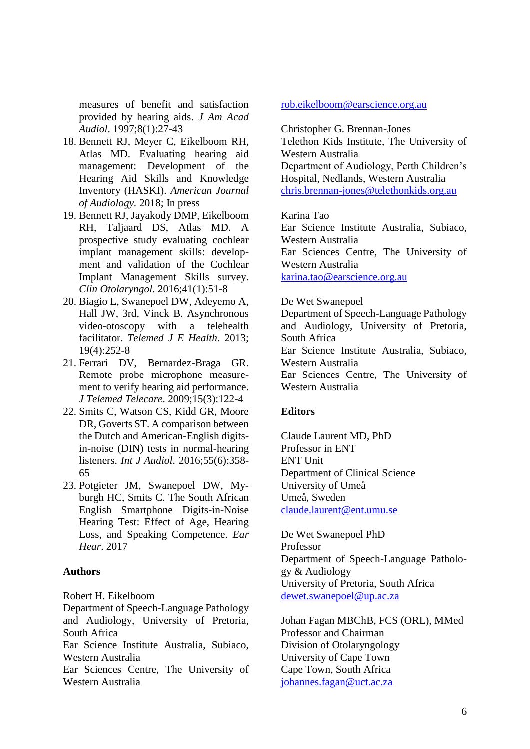measures of benefit and satisfaction provided by hearing aids. *J Am Acad Audiol*. 1997;8(1):27-43

- 18. Bennett RJ, Meyer C, Eikelboom RH, Atlas MD. Evaluating hearing aid management: Development of the Hearing Aid Skills and Knowledge Inventory (HASKI). *American Journal of Audiology.* 2018; In press
- 19. Bennett RJ, Jayakody DMP, Eikelboom RH, Taljaard DS, Atlas MD. A prospective study evaluating cochlear implant management skills: development and validation of the Cochlear Implant Management Skills survey. *Clin Otolaryngol*. 2016;41(1):51-8
- 20. Biagio L, Swanepoel DW, Adeyemo A, Hall JW, 3rd, Vinck B. Asynchronous video-otoscopy with a telehealth facilitator. *Telemed J E Health*. 2013; 19(4):252-8
- 21. Ferrari DV, Bernardez-Braga GR. Remote probe microphone measurement to verify hearing aid performance. *J Telemed Telecare*. 2009;15(3):122-4
- 22. Smits C, Watson CS, Kidd GR, Moore DR, Goverts ST. A comparison between the Dutch and American-English digitsin-noise (DIN) tests in normal-hearing listeners. *Int J Audiol*. 2016;55(6):358- 65
- 23. Potgieter JM, Swanepoel DW, Myburgh HC, Smits C. The South African English Smartphone Digits-in-Noise Hearing Test: Effect of Age, Hearing Loss, and Speaking Competence. *Ear Hear*. 2017

#### **Authors**

Robert H. Eikelboom

Department of Speech-Language Pathology and Audiology, University of Pretoria, South Africa

Ear Science Institute Australia, Subiaco, Western Australia

Ear Sciences Centre, The University of Western Australia

#### [rob.eikelboom@earscience.org.au](mailto:rob.eikelboom@earscience.org.au)

Christopher G. Brennan-Jones Telethon Kids Institute, The University of Western Australia Department of Audiology, Perth Children's Hospital, Nedlands, Western Australia [chris.brennan-jones@telethonkids.org.au](mailto:chris.brennan-jones@telethonkids.org.au)

Karina Tao

Ear Science Institute Australia, Subiaco, Western Australia Ear Sciences Centre, The University of Western Australia [karina.tao@earscience.org.au](mailto:karina.tao@earscience.org.au)

De Wet Swanepoel

Department of Speech-Language Pathology and Audiology, University of Pretoria, South Africa Ear Science Institute Australia, Subiaco, Western Australia Ear Sciences Centre, The University of

Western Australia

#### **Editors**

Claude Laurent MD, PhD Professor in ENT ENT Unit Department of Clinical Science University of Umeå Umeå, Sweden [claude.laurent@ent.umu.se](mailto:claude.laurent@ent.umu.se)

De Wet Swanepoel PhD Professor Department of Speech-Language Pathology & Audiology University of Pretoria, South Africa [dewet.swanepoel@up.ac.za](mailto:dewet.swanepoel@up.ac.za)

Johan Fagan MBChB, FCS (ORL), MMed Professor and Chairman Division of Otolaryngology University of Cape Town Cape Town, South Africa [johannes.fagan@uct.ac.za](mailto:johannes.fagan@uct.ac.za)